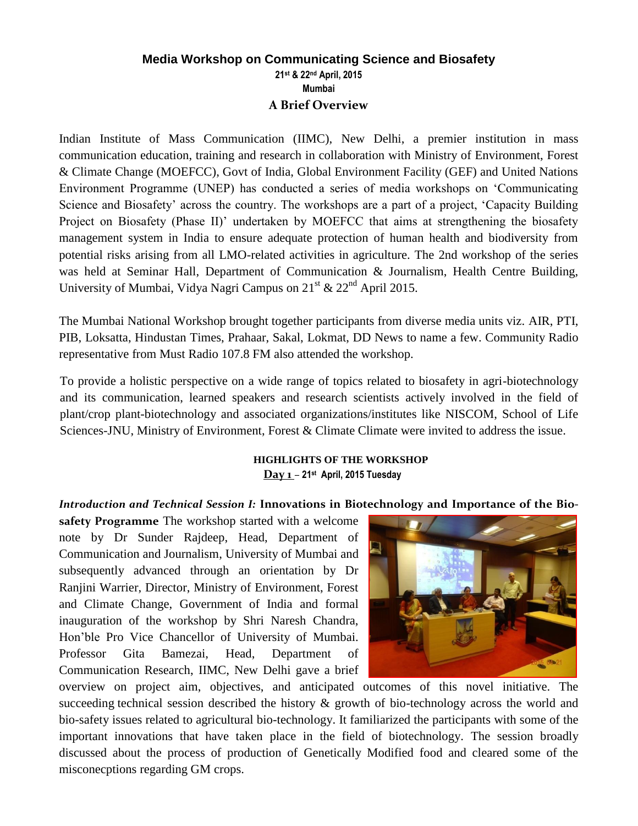## **Media Workshop on Communicating Science and Biosafety 21st & 22nd April, 2015 Mumbai A Brief Overview**

Indian Institute of Mass Communication (IIMC), New Delhi, a premier institution in mass communication education, training and research in collaboration with Ministry of Environment, Forest & Climate Change (MOEFCC), Govt of India, Global Environment Facility (GEF) and United Nations Environment Programme (UNEP) has conducted a series of media workshops on 'Communicating Science and Biosafety' across the country. The workshops are a part of a project, 'Capacity Building Project on Biosafety (Phase II)' undertaken by MOEFCC that aims at strengthening the biosafety management system in India to ensure adequate protection of human health and biodiversity from potential risks arising from all LMO-related activities in agriculture. The 2nd workshop of the series was held at Seminar Hall, Department of Communication & Journalism, Health Centre Building, University of Mumbai, Vidya Nagri Campus on  $21<sup>st</sup>$  &  $22<sup>nd</sup>$  April 2015.

The Mumbai National Workshop brought together participants from diverse media units viz. AIR, PTI, PIB, Loksatta, Hindustan Times, Prahaar, Sakal, Lokmat, DD News to name a few. Community Radio representative from Must Radio 107.8 FM also attended the workshop.

To provide a holistic perspective on a wide range of topics related to biosafety in agri-biotechnology and its communication, learned speakers and research scientists actively involved in the field of plant/crop plant-biotechnology and associated organizations/institutes like NISCOM, School of Life Sciences-JNU, Ministry of Environment, Forest & Climate Climate were invited to address the issue.

## **HIGHLIGHTS OF THE WORKSHOP Day 1** *–* **21st April, 2015 Tuesday**

*Introduction and Technical Session I:* **Innovations in Biotechnology and Importance of the Bio-**

**safety Programme** The workshop started with a welcome note by Dr Sunder Rajdeep, Head, Department of Communication and Journalism, University of Mumbai and subsequently advanced through an orientation by Dr Ranjini Warrier, Director, Ministry of Environment, Forest and Climate Change, Government of India and formal inauguration of the workshop by Shri Naresh Chandra, Hon'ble Pro Vice Chancellor of University of Mumbai. Professor Gita Bamezai, Head, Department of Communication Research, IIMC, New Delhi gave a brief



overview on project aim, objectives, and anticipated outcomes of this novel initiative. The succeeding technical session described the history & growth of bio-technology across the world and bio-safety issues related to agricultural bio-technology. It familiarized the participants with some of the important innovations that have taken place in the field of biotechnology. The session broadly discussed about the process of production of Genetically Modified food and cleared some of the misconecptions regarding GM crops.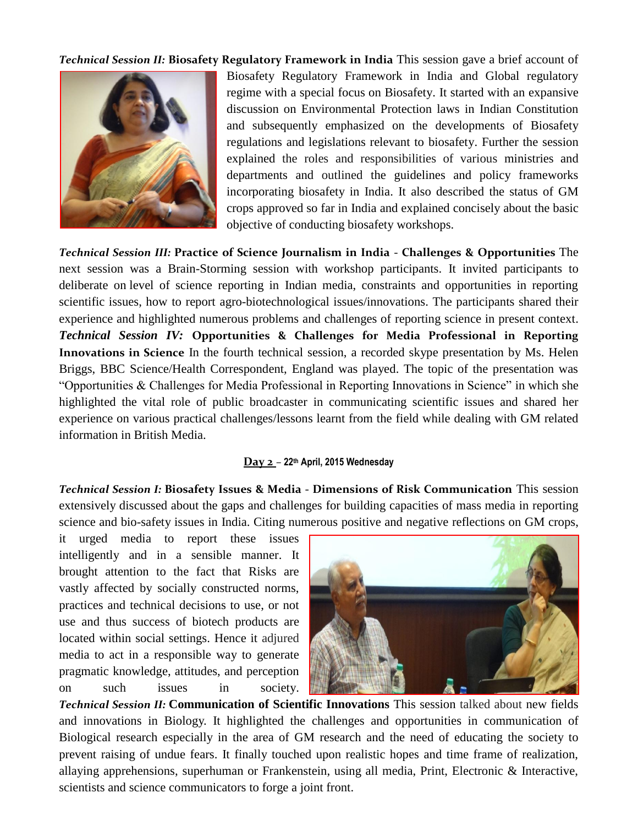*Technical Session II:* **Biosafety Regulatory Framework in India** This session gave a brief account of



Biosafety Regulatory Framework in India and Global regulatory regime with a special focus on Biosafety. It started with an expansive discussion on Environmental Protection laws in Indian Constitution and subsequently emphasized on the developments of Biosafety regulations and legislations relevant to biosafety. Further the session explained the roles and responsibilities of various ministries and departments and outlined the guidelines and policy frameworks incorporating biosafety in India. It also described the status of GM crops approved so far in India and explained concisely about the basic objective of conducting biosafety workshops.

*Technical Session III:* **Practice of Science Journalism in India - Challenges & Opportunities** The next session was a Brain-Storming session with workshop participants. It invited participants to deliberate on level of science reporting in Indian media, constraints and opportunities in reporting scientific issues, how to report agro-biotechnological issues/innovations. The participants shared their experience and highlighted numerous problems and challenges of reporting science in present context. *Technical Session IV:* **Opportunities & Challenges for Media Professional in Reporting Innovations in Science** In the fourth technical session, a recorded skype presentation by Ms. Helen Briggs, BBC Science/Health Correspondent, England was played. The topic of the presentation was "Opportunities & Challenges for Media Professional in Reporting Innovations in Science" in which she highlighted the vital role of public broadcaster in communicating scientific issues and shared her experience on various practical challenges/lessons learnt from the field while dealing with GM related information in British Media.

## **Day 2** *–* **22th April, 2015 Wednesday**

*Technical Session I:* **Biosafety Issues & Media - Dimensions of Risk Communication** This session extensively discussed about the gaps and challenges for building capacities of mass media in reporting science and bio-safety issues in India. Citing numerous positive and negative reflections on GM crops,

it urged media to report these issues intelligently and in a sensible manner. It brought attention to the fact that Risks are vastly affected by socially constructed norms, practices and technical decisions to use, or not use and thus success of biotech products are located within social settings. Hence it adjured media to act in a responsible way to generate pragmatic knowledge, attitudes, and perception on such issues in society.



*Technical Session II:* **Communication of Scientific Innovations** This session talked about new fields and innovations in Biology. It highlighted the challenges and opportunities in communication of Biological research especially in the area of GM research and the need of educating the society to prevent raising of undue fears. It finally touched upon realistic hopes and time frame of realization, allaying apprehensions, superhuman or Frankenstein, using all media, Print, Electronic & Interactive, scientists and science communicators to forge a joint front.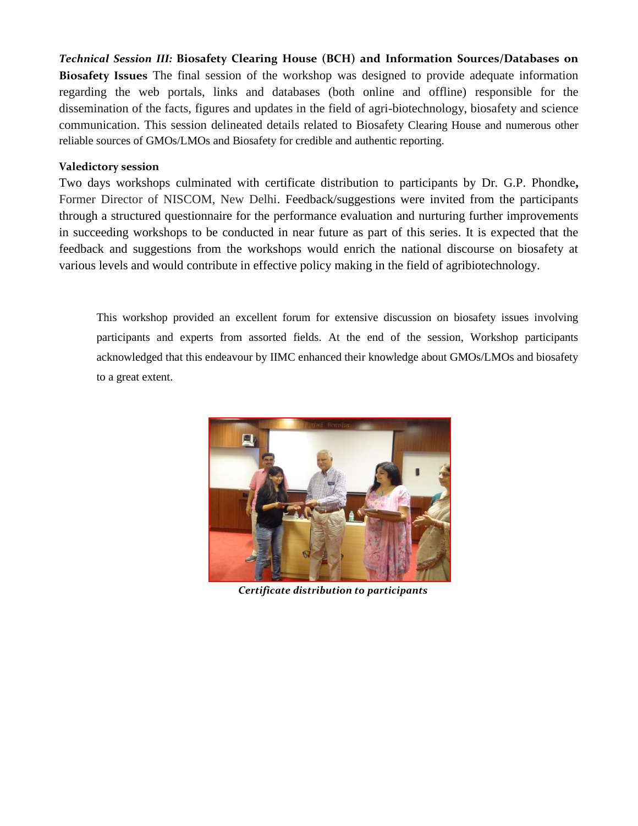*Technical Session III:* **Biosafety Clearing House (BCH) and Information Sources/Databases on Biosafety Issues** The final session of the workshop was designed to provide adequate information regarding the web portals, links and databases (both online and offline) responsible for the dissemination of the facts, figures and updates in the field of agri-biotechnology, biosafety and science communication. This session delineated details related to Biosafety Clearing House and numerous other reliable sources of GMOs/LMOs and Biosafety for credible and authentic reporting.

## **Valedictory session**

Two days workshops culminated with certificate distribution to participants by Dr. G.P. Phondke**,**  Former Director of NISCOM, New Delhi. Feedback/suggestions were invited from the participants through a structured questionnaire for the performance evaluation and nurturing further improvements in succeeding workshops to be conducted in near future as part of this series. It is expected that the feedback and suggestions from the workshops would enrich the national discourse on biosafety at various levels and would contribute in effective policy making in the field of agribiotechnology.

This workshop provided an excellent forum for extensive discussion on biosafety issues involving participants and experts from assorted fields. At the end of the session, Workshop participants acknowledged that this endeavour by IIMC enhanced their knowledge about GMOs/LMOs and biosafety to a great extent.



 *Certificate distribution to participants*